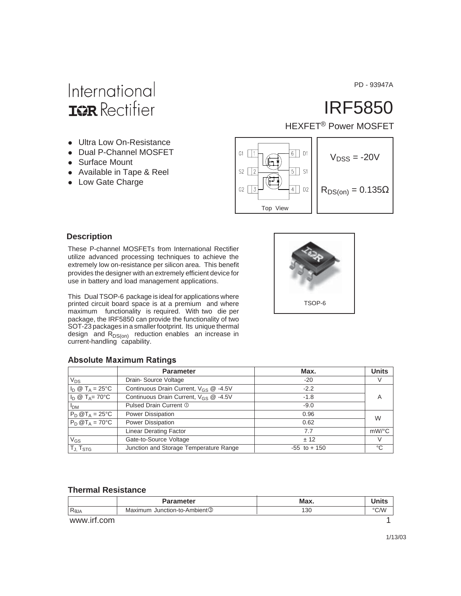PD - 93947A

### International **IGR** Rectifier

- Ultra Low On-Resistance
- Dual P-Channel MOSFET
- Surface Mount
- Available in Tape & Reel
- Low Gate Charge

## IRF5850

HEXFET<sup>®</sup> Power MOSFET



TSOP-6

#### **Description**

These P-channel MOSFETs from International Rectifier utilize advanced processing techniques to achieve the extremely low on-resistance per silicon area. This benefit provides the designer with an extremely efficient device for use in battery and load management applications.

This Dual TSOP-6 package is ideal for applications where printed circuit board space is at a premium and where maximum functionality is required. With two die per package, the IRF5850 can provide the functionality of two SOT-23 packages in a smaller footprint. Its unique thermal design and  $R_{DS(on)}$  reduction enables an increase in current-handling capability.

| <b>Absolute Maximum Ratings</b> |  |  |
|---------------------------------|--|--|
|                                 |  |  |

|                                                          | <b>Parameter</b>                           | Max.            | <b>Units</b> |
|----------------------------------------------------------|--------------------------------------------|-----------------|--------------|
| $V_{DS}$                                                 | Drain-Source Voltage                       | $-20$           | V            |
| $I_{\text{D}} \otimes T_{\text{A}} = 25^{\circ}\text{C}$ | Continuous Drain Current, $V_{GS}$ @ -4.5V | $-2.2$          |              |
| $I_D \otimes T_A = 70^{\circ}C$                          | Continuous Drain Current, $V_{GS}$ @ -4.5V | $-1.8$          | A            |
| I <sub>DM</sub>                                          | Pulsed Drain Current 1                     | $-9.0$          |              |
| $P_D @T_A = 25$ °C                                       | Power Dissipation                          | 0.96            | W            |
| $P_D @T_A = 70^{\circ}C$                                 | Power Dissipation                          | 0.62            |              |
|                                                          | <b>Linear Derating Factor</b>              | 7.7             | mW/°C        |
| $V_{GS}$                                                 | Gate-to-Source Voltage                     | ± 12            | $\vee$       |
| TJ, T <sub>STG</sub>                                     | Junction and Storage Temperature Range     | $-55$ to $+150$ | $^{\circ}C$  |

#### **Thermal Resistance**

|                | <b>Parameter</b>                         | Max. | Units |
|----------------|------------------------------------------|------|-------|
| $R_{\theta$ JA | Maximum Junction-to-Ambient <sup>3</sup> | 130  | °C/W  |
| www.irf.com    |                                          |      |       |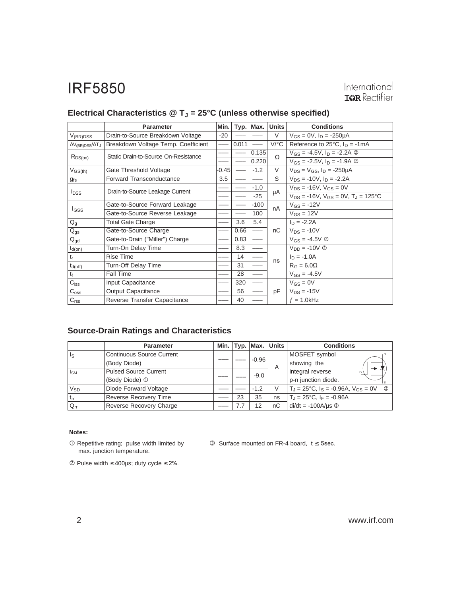|                                     | <b>Parameter</b>                                                 |       |       | Typ.   Max. | <b>Units</b> | <b>Conditions</b>                                   |  |
|-------------------------------------|------------------------------------------------------------------|-------|-------|-------------|--------------|-----------------------------------------------------|--|
| $V_{(BR)DSS}$                       | Drain-to-Source Breakdown Voltage                                | $-20$ |       |             | V            | $V_{GS} = 0V$ , $I_D = -250\mu A$                   |  |
| $\Delta V_{\rm (BR)DSS}/\Delta T_J$ | Breakdown Voltage Temp. Coefficient                              |       | 0.011 |             | $V$ /°C      | Reference to 25 $^{\circ}$ C, $I_{\text{D}}$ = -1mA |  |
|                                     | Static Drain-to-Source On-Resistance                             |       |       | 0.135       |              | $V_{GS} = -4.5V$ , $I_D = -2.2A$ ©                  |  |
| $R_{DS(on)}$                        |                                                                  |       |       | 0.220       | Ω            | $V_{GS} = -2.5V$ , $I_D = -1.9A$ 2                  |  |
| $V_{GS(th)}$                        | Gate Threshold Voltage                                           | -0.45 |       | $-1.2$      | V            | $V_{DS} = V_{GS}$ , $I_D = -250 \mu A$              |  |
| $g_{fs}$                            | <b>Forward Transconductance</b>                                  | 3.5   |       |             | S            | $V_{DS}$ = -10V, $I_D$ = -2.2A                      |  |
|                                     | Drain-to-Source Leakage Current                                  |       |       | $-1.0$      |              | $V_{DS} = -16V$ , $V_{GS} = 0V$                     |  |
| <b>l</b> <sub>DSS</sub>             |                                                                  |       |       | $-25$       | μA           | $V_{DS}$ = -16V, $V_{GS}$ = 0V, $T_{J}$ = 125°C     |  |
|                                     | Gate-to-Source Forward Leakage<br>Gate-to-Source Reverse Leakage |       |       | $-100$      | nA           | $V_{GS} = -12V$                                     |  |
| $I_{GSS}$                           |                                                                  |       |       | 100         |              | $V$ <sub>GS</sub> = 12V                             |  |
| $Q_g$                               | <b>Total Gate Charge</b>                                         |       | 3.6   | 5.4         |              | $I_D = -2.2A$                                       |  |
| $Q_{gs}$                            | Gate-to-Source Charge                                            |       | 0.66  |             | nC           | $V_{DS} = -10V$                                     |  |
| $Q_{gd}$                            | Gate-to-Drain ("Miller") Charge                                  |       | 0.83  |             |              | $V_{GS} = -4.5V$ ②                                  |  |
| $t_{d(on)}$                         | Turn-On Delay Time                                               |       | 8.3   |             |              | $V_{DD} = -10V \circledcirc$                        |  |
| t                                   | <b>Rise Time</b>                                                 |       | 14    |             |              | $I_D = -1.0A$                                       |  |
| $t_{d(off)}$                        | Turn-Off Delay Time                                              |       | 31    |             | ns           | $R_G = 6.0\Omega$                                   |  |
| $t_{f}$                             | Fall Time                                                        |       | 28    |             |              | $V_{GS} = -4.5V$                                    |  |
| $C_{iss}$                           | Input Capacitance                                                |       | 320   |             |              | $V_{GS} = 0V$                                       |  |
| $C_{\rm oss}$                       | <b>Output Capacitance</b>                                        |       | 56    |             | pF           | $V_{DS} = -15V$                                     |  |
| C <sub>rss</sub>                    | Reverse Transfer Capacitance                                     |       | 40    |             |              | $f = 1.0$ kHz                                       |  |

### Electrical Characteristics @ T<sub>J</sub> = 25°C (unless otherwise specified)

#### **Source-Drain Ratings and Characteristics**

|                   | <b>Parameter</b>                 |     | Min. Typ. Max. Units |    | <b>Conditions</b>                                                           |  |  |
|-------------------|----------------------------------|-----|----------------------|----|-----------------------------------------------------------------------------|--|--|
| ls                | <b>Continuous Source Current</b> |     |                      |    | MOSFET symbol                                                               |  |  |
|                   | (Body Diode)                     |     | $-0.96$              | A  | showing the                                                                 |  |  |
| <sub>IsM</sub>    | <b>Pulsed Source Current</b>     |     | $-9.0$               |    | integral reverse<br>G                                                       |  |  |
|                   | (Body Diode) <sup>1</sup>        |     |                      |    | p-n junction diode.                                                         |  |  |
| $V_{SD}$          | Diode Forward Voltage            |     | $-1.2$               | V  | $T_J = 25^{\circ}\text{C}$ , $I_S = -0.96\text{A}$ , $V_{GS} = 0\text{V}$ © |  |  |
| ' t <sub>rr</sub> | <b>Reverse Recovery Time</b>     | 23  | 35                   | ns | $T_{\rm J} = 25^{\circ}$ C, I <sub>F</sub> = -0.96A                         |  |  |
| $Q_{rr}$          | Reverse Recovery Charge          | 7.7 | 12                   | nC | $di/dt = -100A/\mu s$ <sup>②</sup>                                          |  |  |

#### Notes:

- Repetitive rating; pulse width limited by max. junction temperature.

 $\circled{S}$  Surface mounted on FR-4 board,  $t \leq 5$ sec.

 $©$  Pulse width ≤ 400µs; duty cycle ≤ 2%.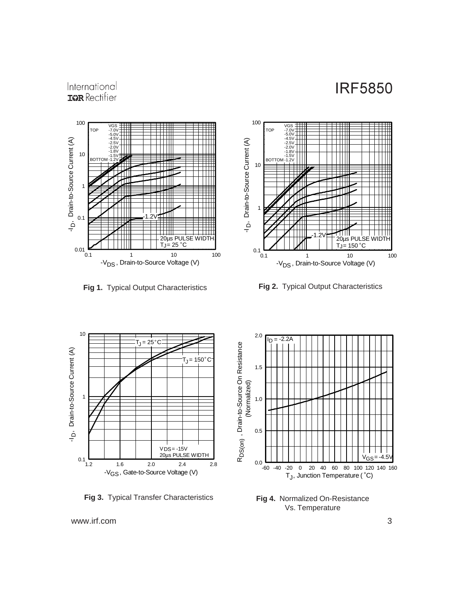#### International **ISPR** Rectifier





**Fig 1.** Typical Output Characteristics **Fig 2.** Typical Output Characteristics



**Fig 3.** Typical Transfer Characteristics



**Fig 4.** Normalized On-Resistance Vs. Temperature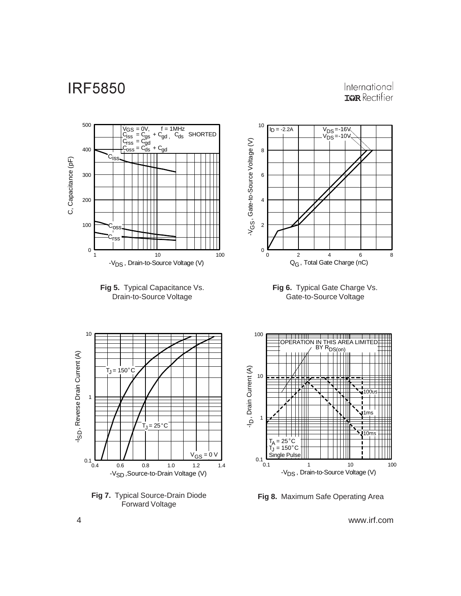#### International **IGR** Rectifier



**Fig 8.** Maximum Safe Operating Area

4 www.irf.com

Forward Voltage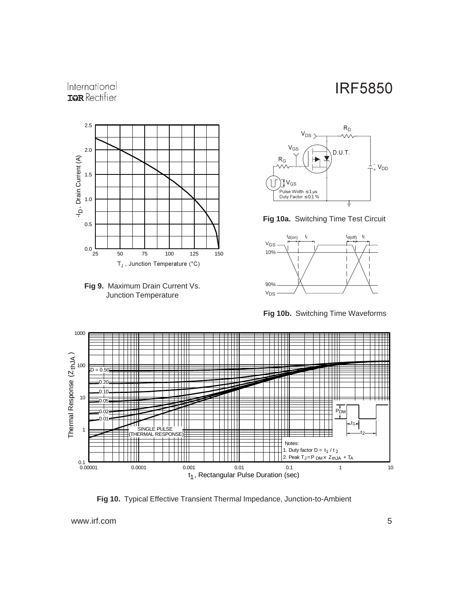#### International **ISPR** Rectifier











**Fig 10b.** Switching Time Waveforms



**Fig 10.** Typical Effective Transient Thermal Impedance, Junction-to-Ambient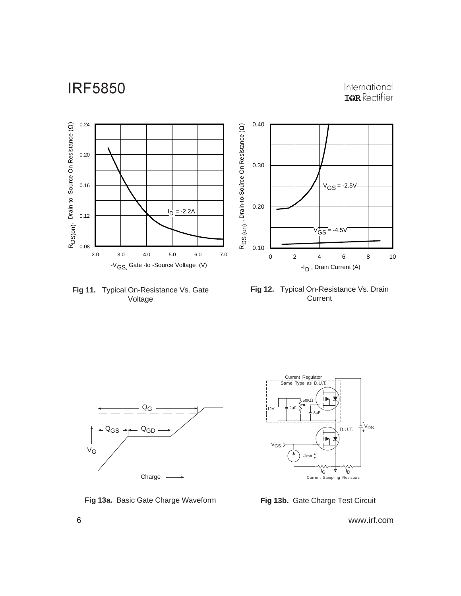International<br> **ISR** Rectifier



**Fig 11.** Typical On-Resistance Vs. Gate Voltage





**Fig 13a.** Basic Gate Charge Waveform **Fig 13b.** Gate Charge Test Circuit

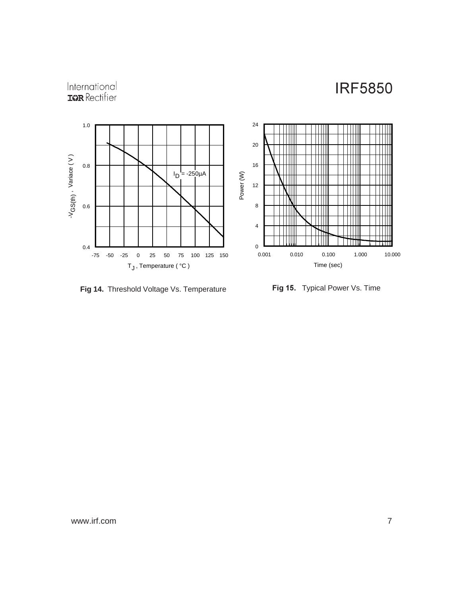# International<br>**IGR** Rectifier



**Fig 14.** Threshold Voltage Vs. Temperature **-**

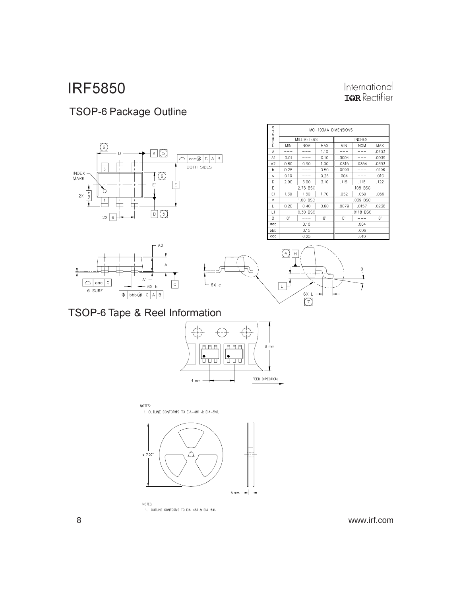### TSOP-6 Package Outline







| <b>LOMA</b><br>K | MO-193AA DIMENSIONS |            |               |           |            |       |  |  |
|------------------|---------------------|------------|---------------|-----------|------------|-------|--|--|
|                  | <b>MILLIMETERS</b>  |            | <b>INCHES</b> |           |            |       |  |  |
|                  | MIN                 | <b>NOM</b> | MAX           | MIN       | <b>NOM</b> | MAX   |  |  |
| A                |                     |            | 1.10          |           |            | .0433 |  |  |
| A1               | 0.01                |            | 0.10          | .0004     |            | .0039 |  |  |
| A2               | 0.80                | 0.90       | 1,00          | .0315     | .0354      | .0393 |  |  |
| b                | 0.25                |            | 0.50          | .0099     |            | .0196 |  |  |
| c                | 0.10                |            | 0.26          | .004      |            | ,010  |  |  |
| D                | 2.90                | 3.00       | 3.10          | .115      | .118       | .122  |  |  |
| E                | 2.75 BSC            |            |               | .108 BSC  |            |       |  |  |
| E1               | 1.30                | 1.50       | 1.70          | .052      | .059       | .066  |  |  |
| e                | 1.00 BSC            |            |               | .039 BSC  |            |       |  |  |
| L                | 0.20                | 0.40       | 0.60          | .0079     | .0157      | .0236 |  |  |
| L1               | 0.30 BSC            |            |               | .0118 BSC |            |       |  |  |
| Θ                | 0.                  |            | 8.            | 0.        |            | 8.    |  |  |
| ooo              | 0,10                |            |               | .004      |            |       |  |  |
| bbb              |                     | 0.15       |               | .006      |            |       |  |  |
| $_{\rm ccc}$     |                     | 0.25       |               |           | .010       |       |  |  |

International<br> **IGR** Rectifier



#### TSOP-6 Tape & Reel Information



NOTES: 1. OUTLINE CONFORMS TO EIA-481 & EIA-541.



NOTES: 1. OUTLINE CONFORMS TO EIA-481 & EIA-541.